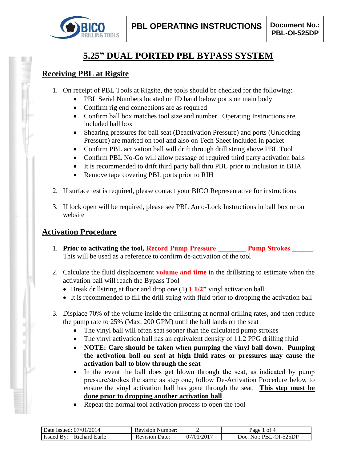

# **5.25" DUAL PORTED PBL BYPASS SYSTEM**

### **Receiving PBL at Rigsite**

- 1. On receipt of PBL Tools at Rigsite, the tools should be checked for the following:
	- PBL Serial Numbers located on ID band below ports on main body
	- Confirm rig end connections are as required
	- Confirm ball box matches tool size and number. Operating Instructions are included ball box
	- Shearing pressures for ball seat (Deactivation Pressure) and ports (Unlocking Pressure) are marked on tool and also on Tech Sheet included in packet
	- Confirm PBL activation ball will drift through drill string above PBL Tool
	- Confirm PBL No-Go will allow passage of required third party activation balls
	- It is recommended to drift third party ball thru PBL prior to inclusion in BHA
	- Remove tape covering PBL ports prior to RIH
- 2. If surface test is required, please contact your BICO Representative for instructions
- 3. If lock open will be required, please see PBL Auto-Lock Instructions in ball box or on website

## **Activation Procedure**

- 1. **Prior to activating the tool, Record Pump Pressure Pump Strokes 2014** This will be used as a reference to confirm de-activation of the tool
- 2. Calculate the fluid displacement **volume and time** in the drillstring to estimate when the activation ball will reach the Bypass Tool
	- Break drillstring at floor and drop one (1) **1 1/2"** vinyl activation ball
	- It is recommended to fill the drill string with fluid prior to dropping the activation ball
- 3. Displace 70% of the volume inside the drillstring at normal drilling rates, and then reduce the pump rate to 25% (Max. 200 GPM) until the ball lands on the seat
	- The vinyl ball will often seat sooner than the calculated pump strokes
	- The vinyl activation ball has an equivalent density of 11.2 PPG drilling fluid
	- **NOTE: Care should be taken when pumping the vinyl ball down. Pumping the activation ball on seat at high fluid rates or pressures may cause the activation ball to blow through the seat**
	- In the event the ball does get blown through the seat, as indicated by pump pressure/strokes the same as step one, follow De-Activation Procedure below to ensure the vinyl activation ball has gone through the seat. **This step must be done prior to dropping another activation ball**
	- Repeat the normal tool activation process to open the tool

| /2014<br>07/01/<br>Date Issued:           | Number:<br>Revision |                               | nt 4<br>Раое                           |
|-------------------------------------------|---------------------|-------------------------------|----------------------------------------|
| Earle<br>R <sub>1</sub> chard<br>l Issued | Date:<br>Revision   | $1/201$ <sup>-</sup><br>07/01 | -525DP<br>10 L I<br>Joc<br>PRI<br>∩וצו |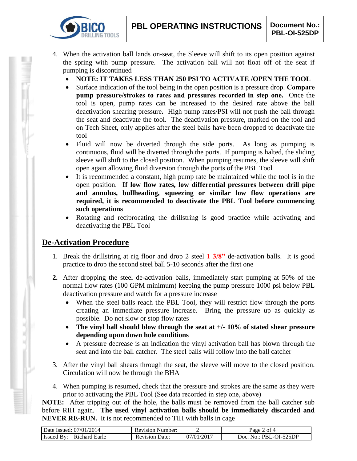- 4. When the activation ball lands on-seat, the Sleeve will shift to its open position against the spring with pump pressure. The activation ball will not float off of the seat if pumping is discontinued
	- **NOTE: IT TAKES LESS THAN 250 PSI TO ACTIVATE /OPEN THE TOOL**
	- Surface indication of the tool being in the open position is a pressure drop. **Compare pump pressure/strokes to rates and pressures recorded in step one.** Once the tool is open, pump rates can be increased to the desired rate above the ball deactivation shearing pressure**.** High pump rates/PSI will not push the ball through the seat and deactivate the tool. The deactivation pressure, marked on the tool and on Tech Sheet, only applies after the steel balls have been dropped to deactivate the tool
	- Fluid will now be diverted through the side ports. As long as pumping is continuous, fluid will be diverted through the ports. If pumping is halted, the sliding sleeve will shift to the closed position. When pumping resumes, the sleeve will shift open again allowing fluid diversion through the ports of the PBL Tool
	- It is recommended a constant, high pump rate be maintained while the tool is in the open position. **If low flow rates, low differential pressures between drill pipe and annulus, bullheading, squeezing or similar low flow operations are required, it is recommended to deactivate the PBL Tool before commencing such operations**
	- Rotating and reciprocating the drillstring is good practice while activating and deactivating the PBL Tool

## **De-Activation Procedure**

**IG TOOLS** 

- 1. Break the drillstring at rig floor and drop 2 steel **1 3/8"** de-activation balls. It is good practice to drop the second steel ball 5-10 seconds after the first one
- **2.** After dropping the steel de-activation balls, immediately start pumping at 50% of the normal flow rates (100 GPM minimum) keeping the pump pressure 1000 psi below PBL deactivation pressure and watch for a pressure increase
	- When the steel balls reach the PBL Tool, they will restrict flow through the ports creating an immediate pressure increase. Bring the pressure up as quickly as possible. Do not slow or stop flow rates
	- **The vinyl ball should blow through the seat at +/- 10% of stated shear pressure depending upon down hole conditions**
	- A pressure decrease is an indication the vinyl activation ball has blown through the seat and into the ball catcher. The steel balls will follow into the ball catcher
- 3. After the vinyl ball shears through the seat, the sleeve will move to the closed position. Circulation will now be through the BHA
- 4. When pumping is resumed, check that the pressure and strokes are the same as they were prior to activating the PBL Tool (See data recorded in step one, above)

**NOTE:** After tripping out of the hole, the balls must be removed from the ball catcher sub before RIH again. **The used vinyl activation balls should be immediately discarded and NEVER RE-RUN.** It is not recommended to TIH with balls in cage

| Date Issued: 07/01/2014            | <b>Revision Number:</b> |                         | $2$ of 4<br>$\log_e$                |
|------------------------------------|-------------------------|-------------------------|-------------------------------------|
| <b>Issued By:</b><br>Richard Earle | Date:<br>Revision       | .)7/01/201 <sup>-</sup> | PBL-OI-525DP<br>Doc.<br>$N\Omega$ . |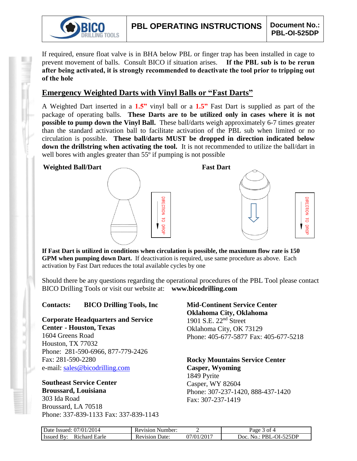

**IRECTION** 

 $\overline{d}$ 

**DROF** 

If required, ensure float valve is in BHA below PBL or finger trap has been installed in cage to prevent movement of balls. Consult BICO if situation arises. **If the PBL sub is to be rerun after being activated, it is strongly recommended to deactivate the tool prior to tripping out of the hole**

### **Emergency Weighted Darts with Vinyl Balls or "Fast Darts"**

A Weighted Dart inserted in a **1.5"** vinyl ball or a **1.5"** Fast Dart is supplied as part of the package of operating balls. **These Darts are to be utilized only in cases where it is not possible to pump down the Vinyl Ball.** These ball/darts weigh approximately 6-7 times greater than the standard activation ball to facilitate activation of the PBL sub when limited or no circulation is possible. **These ball/darts MUST be dropped in direction indicated below down the drillstring when activating the tool.** It is not recommended to utilize the ball/dart in well bores with angles greater than 55<sup>°</sup> if pumping is not possible

#### **Weighted Ball/Dart Fast Dart**





**If Fast Dart is utilized in conditions when circulation is possible, the maximum flow rate is 150 GPM when pumping down Dart.** If deactivation is required, use same procedure as above. Each activation by Fast Dart reduces the total available cycles by one

Should there be any questions regarding the operational procedures of the PBL Tool please contact BICO Drilling Tools or visit our website at: **www.bicodrilling.com**

### **Contacts: BICO Drilling Tools, Inc**

**Corporate Headquarters and Service Center - Houston, Texas**

1604 Greens Road Houston, TX 77032 Phone: 281-590-6966, 877-779-2426 Fax: 281-590-2280 e-mail: [sales@bicodrilling.com](mailto:sales@bicodrilling.com)

### **Southeast Service Center Broussard, Louisiana**

303 Ida Road Broussard, LA 70518 Phone: 337-839-1133 Fax: 337-839-1143 **Mid-Continent Service Center Oklahoma City, Oklahoma** 1901 S.E. 22nd Street Oklahoma City, OK 73129 Phone: 405-677-5877 Fax: 405-677-5218

**Rocky Mountains Service Center Casper, Wyoming** 1849 Pyrite Casper, WY 82604 Phone: 307-237-1420, 888-437-1420 Fax: 307-237-1419

| Date Issued: 07/01/2014               | <b>Revision Number:</b> |            | ot 4<br>Page.                 |
|---------------------------------------|-------------------------|------------|-------------------------------|
| Richard Earle<br><b>Issued</b><br>BV: | Date:<br>Revision       | 07/01/2017 | . PBL-OI-525DP<br>Doc.<br>NO. |